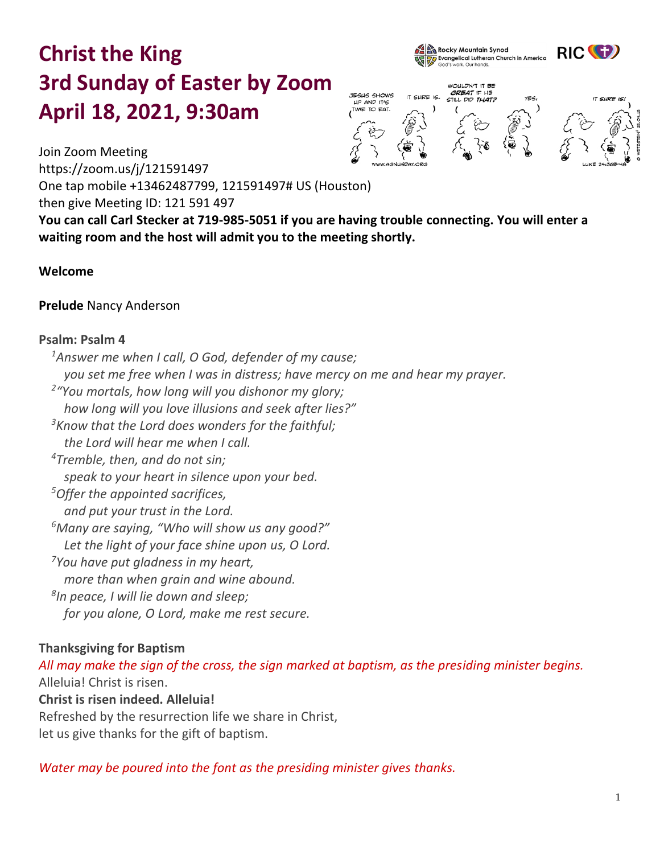# **Christ the King 3rd Sunday of Easter by Zoom April 18, 2021, 9:30am**





WOULDN'T IT BE GREAT IF HE **JESUS SHOWS** STILL DID THAT? YES, IT SURE IS UP AND ITIC TIME TO EAT

Join Zoom Meeting

https://zoom.us/j/121591497

One tap mobile +13462487799, 121591497# US (Houston)

then give Meeting ID: 121 591 497

**You can call Carl Stecker at 719-985-5051 if you are having trouble connecting. You will enter a waiting room and the host will admit you to the meeting shortly.** 

# **Welcome**

# **Prelude** Nancy Anderson

# **Psalm: Psalm 4**

*<sup>1</sup>Answer me when I call, O God, defender of my cause; you set me free when I was in distress; have mercy on me and hear my prayer. 2 "You mortals, how long will you dishonor my glory; how long will you love illusions and seek after lies?" <sup>3</sup>Know that the Lord does wonders for the faithful; the Lord will hear me when I call. <sup>4</sup>Tremble, then, and do not sin; speak to your heart in silence upon your bed. <sup>5</sup>Offer the appointed sacrifices, and put your trust in the Lord. <sup>6</sup>Many are saying, "Who will show us any good?" Let the light of your face shine upon us, O Lord. <sup>7</sup>You have put gladness in my heart, more than when grain and wine abound. 8 In peace, I will lie down and sleep; for you alone, O Lord, make me rest secure.*

# **Thanksgiving for Baptism**

*All may make the sign of the cross, the sign marked at baptism, as the presiding minister begins.* Alleluia! Christ is risen. **Christ is risen indeed. Alleluia!** Refreshed by the resurrection life we share in Christ, let us give thanks for the gift of baptism.

*Water may be poured into the font as the presiding minister gives thanks.*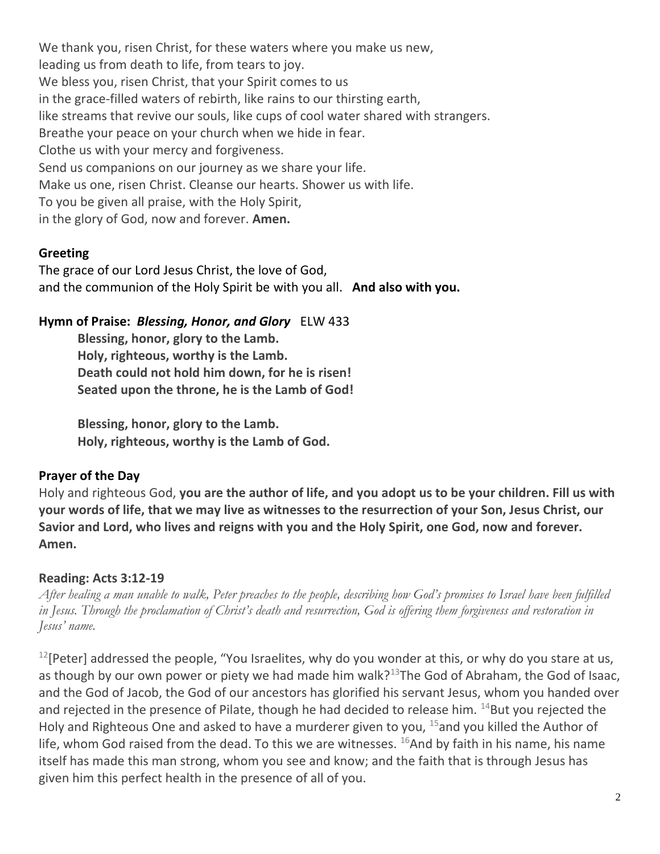We thank you, risen Christ, for these waters where you make us new, leading us from death to life, from tears to joy. We bless you, risen Christ, that your Spirit comes to us in the grace-filled waters of rebirth, like rains to our thirsting earth, like streams that revive our souls, like cups of cool water shared with strangers. Breathe your peace on your church when we hide in fear. Clothe us with your mercy and forgiveness. Send us companions on our journey as we share your life. Make us one, risen Christ. Cleanse our hearts. Shower us with life. To you be given all praise, with the Holy Spirit, in the glory of God, now and forever. **Amen.**

## **Greeting**

The grace of our Lord Jesus Christ, the love of God, and the communion of the Holy Spirit be with you all. **And also with you.**

## **Hymn of Praise:** *Blessing, Honor, and Glory* ELW 433

**Blessing, honor, glory to the Lamb. Holy, righteous, worthy is the Lamb. Death could not hold him down, for he is risen! Seated upon the throne, he is the Lamb of God!**

**Blessing, honor, glory to the Lamb. Holy, righteous, worthy is the Lamb of God.** 

## **Prayer of the Day**

Holy and righteous God, **you are the author of life, and you adopt us to be your children. Fill us with your words of life, that we may live as witnesses to the resurrection of your Son, Jesus Christ, our Savior and Lord, who lives and reigns with you and the Holy Spirit, one God, now and forever. Amen.**

## **Reading: Acts 3:12-19**

*After healing a man unable to walk, Peter preaches to the people, describing how God's promises to Israel have been fulfilled in Jesus. Through the proclamation of Christ's death and resurrection, God is offering them forgiveness and restoration in Jesus' name.*

 $12$ [Peter] addressed the people, "You Israelites, why do you wonder at this, or why do you stare at us, as though by our own power or piety we had made him walk?<sup>13</sup>The God of Abraham, the God of Isaac, and the God of Jacob, the God of our ancestors has glorified his servant Jesus, whom you handed over and rejected in the presence of Pilate, though he had decided to release him.  $^{14}$ But you rejected the Holy and Righteous One and asked to have a murderer given to you, <sup>15</sup>and you killed the Author of life, whom God raised from the dead. To this we are witnesses.  $^{16}$ And by faith in his name, his name itself has made this man strong, whom you see and know; and the faith that is through Jesus has given him this perfect health in the presence of all of you.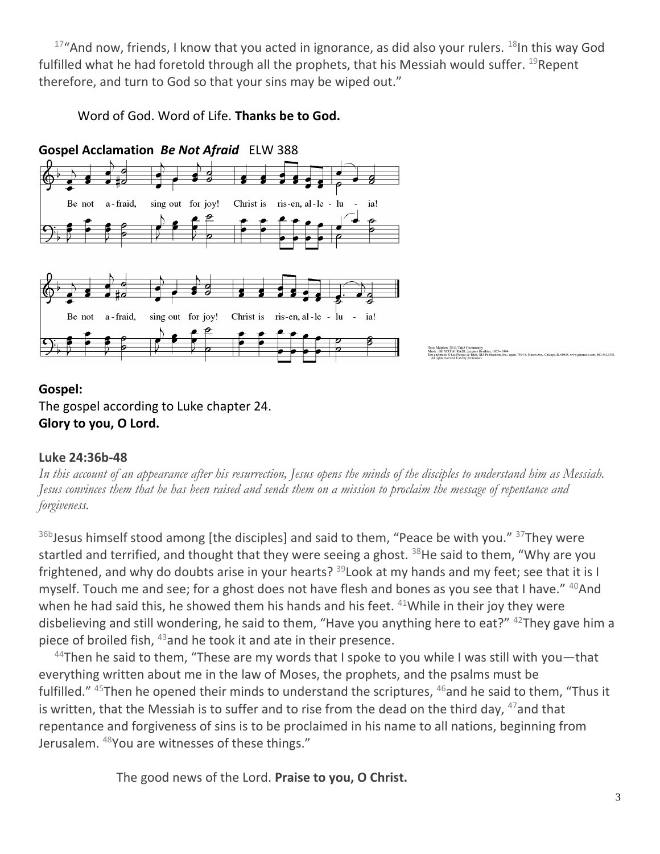$17"$ And now, friends, I know that you acted in ignorance, as did also your rulers.  $18$ In this way God fulfilled what he had foretold through all the prophets, that his Messiah would suffer. <sup>19</sup>Repent therefore, and turn to God so that your sins may be wiped out."

Word of God. Word of Life. **Thanks be to God.**



**Gospel:** The gospel according to Luke chapter 24. **Glory to you, O Lord.**

# **Luke 24:36b-48**

*In this account of an appearance after his resurrection, Jesus opens the minds of the disciples to understand him as Messiah. Jesus convinces them that he has been raised and sends them on a mission to proclaim the message of repentance and forgiveness.*

<sup>36b</sup>Jesus himself stood among [the disciples] and said to them, "Peace be with you." <sup>37</sup>They were startled and terrified, and thought that they were seeing a ghost.  $38$ He said to them, "Why are you frightened, and why do doubts arise in your hearts? <sup>39</sup>Look at my hands and my feet; see that it is I myself. Touch me and see; for a ghost does not have flesh and bones as you see that I have."  $40$ And when he had said this, he showed them his hands and his feet.  $41$ While in their joy they were disbelieving and still wondering, he said to them, "Have you anything here to eat?"  $42$ They gave him a piece of broiled fish, <sup>43</sup> and he took it and ate in their presence.

 $44$ Then he said to them, "These are my words that I spoke to you while I was still with you—that everything written about me in the law of Moses, the prophets, and the psalms must be fulfilled."  $45$ Then he opened their minds to understand the scriptures,  $46$  and he said to them, "Thus it is written, that the Messiah is to suffer and to rise from the dead on the third day,  $47$  and that repentance and forgiveness of sins is to be proclaimed in his name to all nations, beginning from Jerusalem. <sup>48</sup>You are witnesses of these things."

The good news of the Lord. **Praise to you, O Christ.**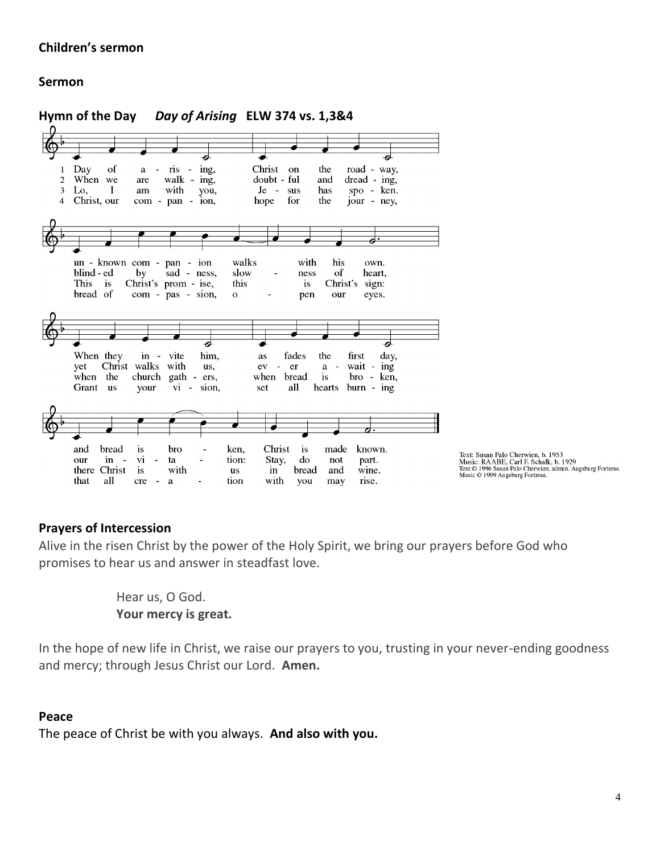## **Children's sermon**

## **Sermon**



#### **Prayers of Intercession**

Alive in the risen Christ by the power of the Holy Spirit, we bring our prayers before God who promises to hear us and answer in steadfast love.

> Hear us, O God. **Your mercy is great.**

In the hope of new life in Christ, we raise our prayers to you, trusting in your never-ending goodness and mercy; through Jesus Christ our Lord. **Amen.**

#### **Peace**

The peace of Christ be with you always. **And also with you.**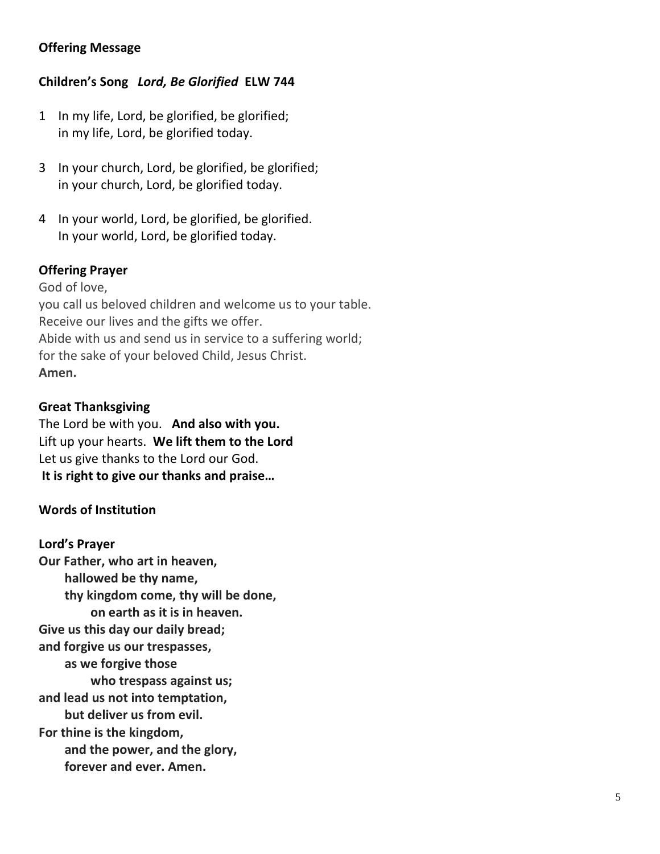# **Offering Message**

## **Children's Song** *Lord, Be Glorified* **ELW 744**

- 1 In my life, Lord, be glorified, be glorified; in my life, Lord, be glorified today.
- 3 In your church, Lord, be glorified, be glorified; in your church, Lord, be glorified today.
- 4 In your world, Lord, be glorified, be glorified. In your world, Lord, be glorified today.

## **Offering Prayer**

God of love, you call us beloved children and welcome us to your table. Receive our lives and the gifts we offer. Abide with us and send us in service to a suffering world; for the sake of your beloved Child, Jesus Christ. **Amen.**

## **Great Thanksgiving**

The Lord be with you. **And also with you.** Lift up your hearts. **We lift them to the Lord** Let us give thanks to the Lord our God. **It is right to give our thanks and praise…** 

#### **Words of Institution**

#### **Lord's Prayer**

**Our Father, who art in heaven, hallowed be thy name, thy kingdom come, thy will be done, on earth as it is in heaven. Give us this day our daily bread; and forgive us our trespasses, as we forgive those who trespass against us; and lead us not into temptation, but deliver us from evil. For thine is the kingdom, and the power, and the glory, forever and ever. Amen.**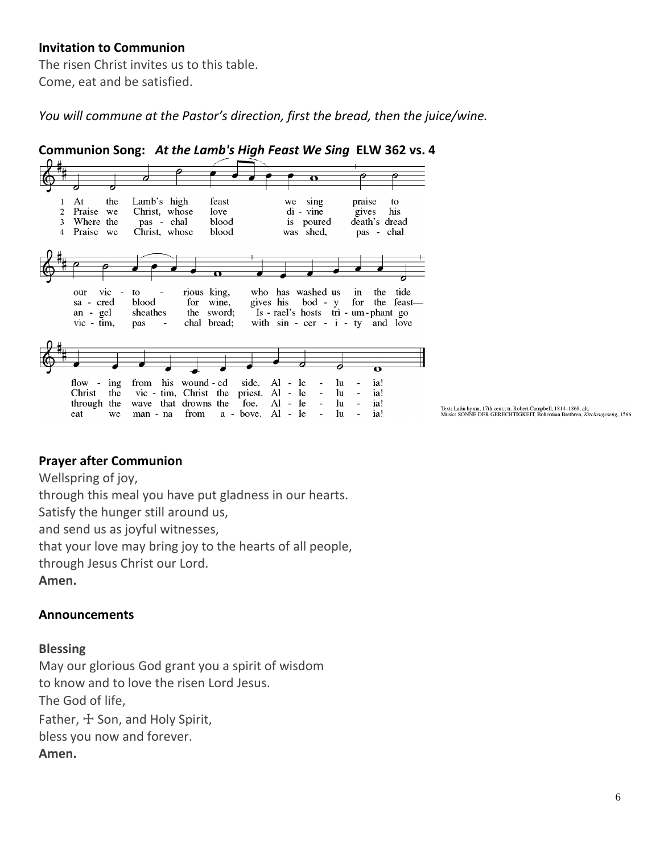## **Invitation to Communion**

The risen Christ invites us to this table. Come, eat and be satisfied.

*You will commune at the Pastor's direction, first the bread, then the juice/wine.*



Text: Latin hymn, 17th cent.; tr. Robert Campbell, 1814–1868, alt.<br>Music: SONNE DER GERECHTIGKEIT, Bohemian Brethren, *Kirchengeseng*, 1566

#### **Prayer after Communion**

Wellspring of joy,

through this meal you have put gladness in our hearts.

Satisfy the hunger still around us,

and send us as joyful witnesses,

that your love may bring joy to the hearts of all people,

through Jesus Christ our Lord.

**Amen.**

#### **Announcements**

#### **Blessing**

May our glorious God grant you a spirit of wisdom to know and to love the risen Lord Jesus. The God of life, Father,  $\pm$  Son, and Holy Spirit, bless you now and forever. **Amen.**